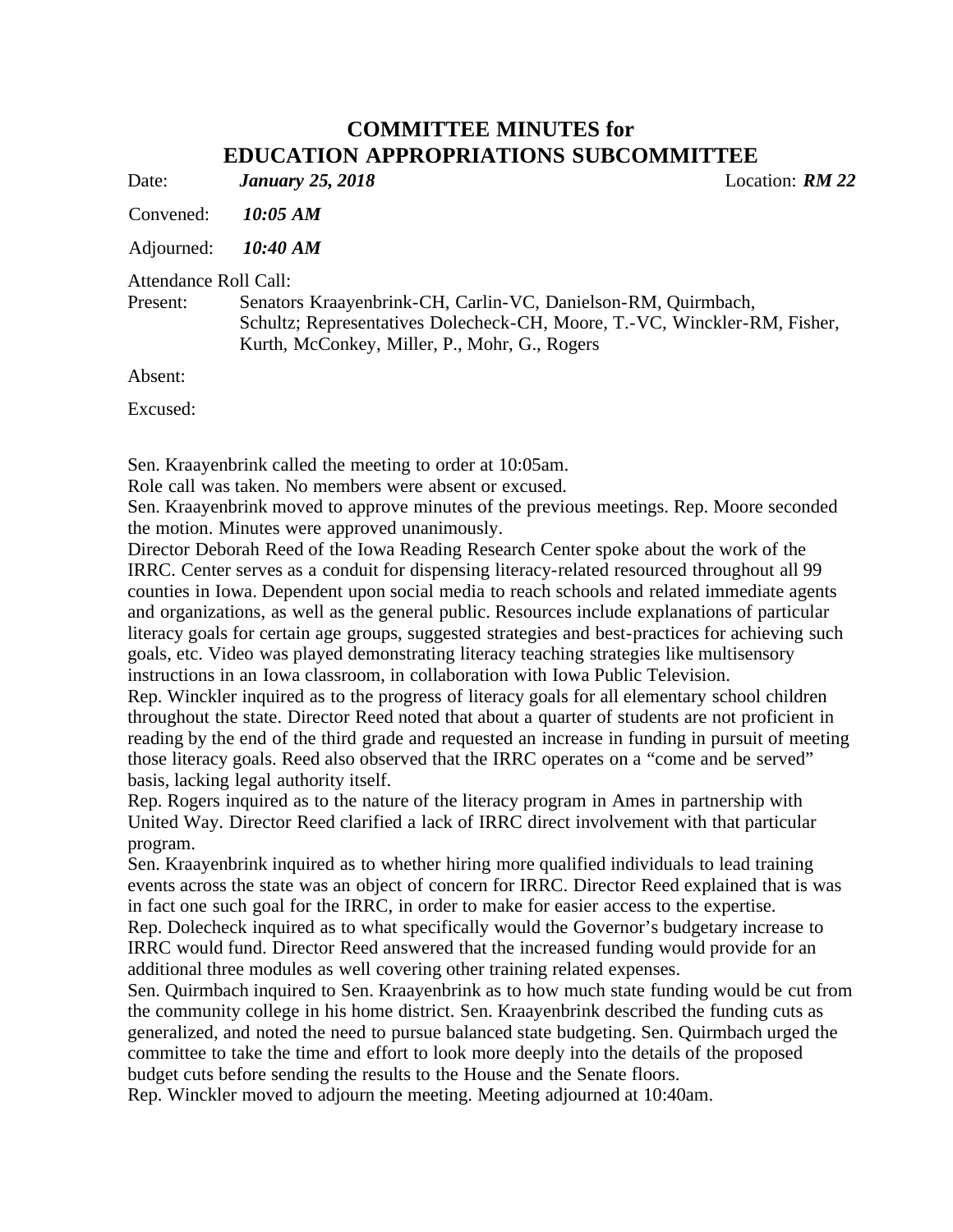## **COMMITTEE MINUTES for EDUCATION APPROPRIATIONS SUBCOMMITTEE**

Date: *January 25, 2018* Location: *RM 22*

Convened: *10:05 AM*

Adjourned: *10:40 AM*

Attendance Roll Call:

Present: Senators Kraayenbrink-CH, Carlin-VC, Danielson-RM, Quirmbach, Schultz; Representatives Dolecheck-CH, Moore, T.-VC, Winckler-RM, Fisher, Kurth, McConkey, Miller, P., Mohr, G., Rogers

Absent:

Excused:

Sen. Kraayenbrink called the meeting to order at 10:05am.

Role call was taken. No members were absent or excused.

Sen. Kraayenbrink moved to approve minutes of the previous meetings. Rep. Moore seconded the motion. Minutes were approved unanimously.

Director Deborah Reed of the Iowa Reading Research Center spoke about the work of the IRRC. Center serves as a conduit for dispensing literacy-related resourced throughout all 99 counties in Iowa. Dependent upon social media to reach schools and related immediate agents and organizations, as well as the general public. Resources include explanations of particular literacy goals for certain age groups, suggested strategies and best-practices for achieving such goals, etc. Video was played demonstrating literacy teaching strategies like multisensory instructions in an Iowa classroom, in collaboration with Iowa Public Television.

Rep. Winckler inquired as to the progress of literacy goals for all elementary school children throughout the state. Director Reed noted that about a quarter of students are not proficient in reading by the end of the third grade and requested an increase in funding in pursuit of meeting those literacy goals. Reed also observed that the IRRC operates on a "come and be served" basis, lacking legal authority itself.

Rep. Rogers inquired as to the nature of the literacy program in Ames in partnership with United Way. Director Reed clarified a lack of IRRC direct involvement with that particular program.

Sen. Kraayenbrink inquired as to whether hiring more qualified individuals to lead training events across the state was an object of concern for IRRC. Director Reed explained that is was in fact one such goal for the IRRC, in order to make for easier access to the expertise. Rep. Dolecheck inquired as to what specifically would the Governor's budgetary increase to IRRC would fund. Director Reed answered that the increased funding would provide for an additional three modules as well covering other training related expenses.

Sen. Quirmbach inquired to Sen. Kraayenbrink as to how much state funding would be cut from the community college in his home district. Sen. Kraayenbrink described the funding cuts as generalized, and noted the need to pursue balanced state budgeting. Sen. Quirmbach urged the committee to take the time and effort to look more deeply into the details of the proposed budget cuts before sending the results to the House and the Senate floors.

Rep. Winckler moved to adjourn the meeting. Meeting adjourned at 10:40am.